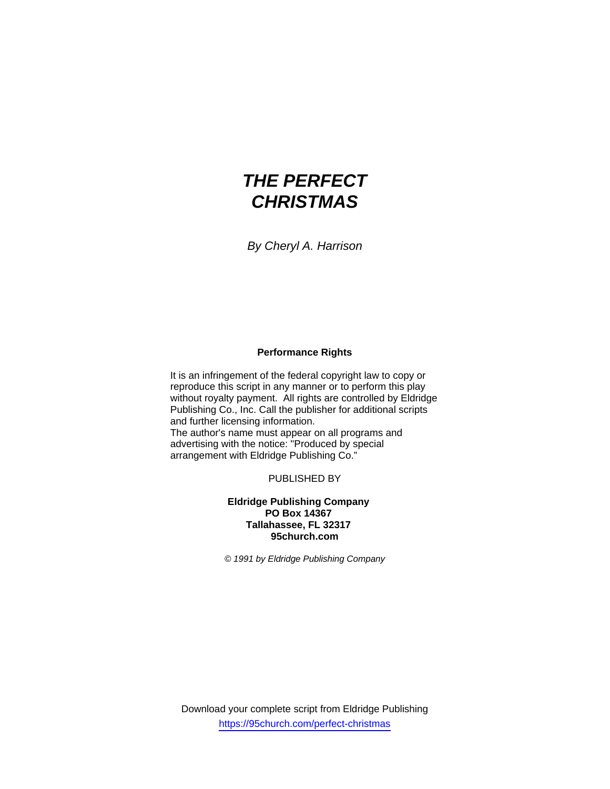# *THE PERFECT CHRISTMAS*

*By Cheryl A. Harrison* 

## **Performance Rights**

It is an infringement of the federal copyright law to copy or reproduce this script in any manner or to perform this play without royalty payment. All rights are controlled by Eldridge Publishing Co., Inc. Call the publisher for additional scripts and further licensing information.

The author's name must appear on all programs and advertising with the notice: "Produced by special arrangement with Eldridge Publishing Co."

PUBLISHED BY

## **Eldridge Publishing Company PO Box 14367 Tallahassee, FL 32317 95church.com**

*© 1991 by Eldridge Publishing Company*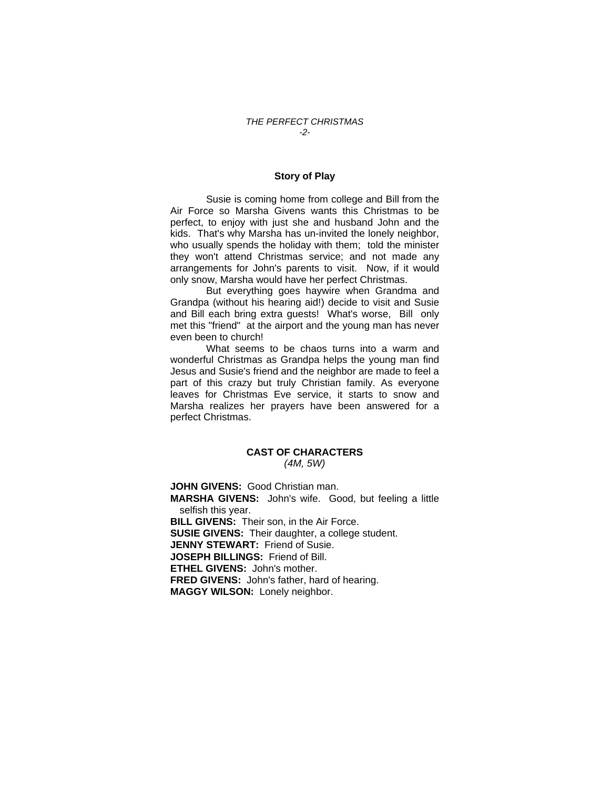#### **Story of Play**

 Susie is coming home from college and Bill from the Air Force so Marsha Givens wants this Christmas to be perfect, to enjoy with just she and husband John and the kids. That's why Marsha has un-invited the lonely neighbor, who usually spends the holiday with them; told the minister they won't attend Christmas service; and not made any arrangements for John's parents to visit. Now, if it would only snow, Marsha would have her perfect Christmas.

 But everything goes haywire when Grandma and Grandpa (without his hearing aid!) decide to visit and Susie and Bill each bring extra guests! What's worse, Bill only met this "friend" at the airport and the young man has never even been to church!

 What seems to be chaos turns into a warm and wonderful Christmas as Grandpa helps the young man find Jesus and Susie's friend and the neighbor are made to feel a part of this crazy but truly Christian family. As everyone leaves for Christmas Eve service, it starts to snow and Marsha realizes her prayers have been answered for a perfect Christmas.

### **CAST OF CHARACTERS** *(4M, 5W)*

**JOHN GIVENS:** Good Christian man. **MARSHA GIVENS:** John's wife. Good, but feeling a little selfish this year. **BILL GIVENS:** Their son, in the Air Force. **SUSIE GIVENS:** Their daughter, a college student. **JENNY STEWART:** Friend of Susie. **JOSEPH BILLINGS:** Friend of Bill. **ETHEL GIVENS:** John's mother. **FRED GIVENS:** John's father, hard of hearing. **MAGGY WILSON:** Lonely neighbor.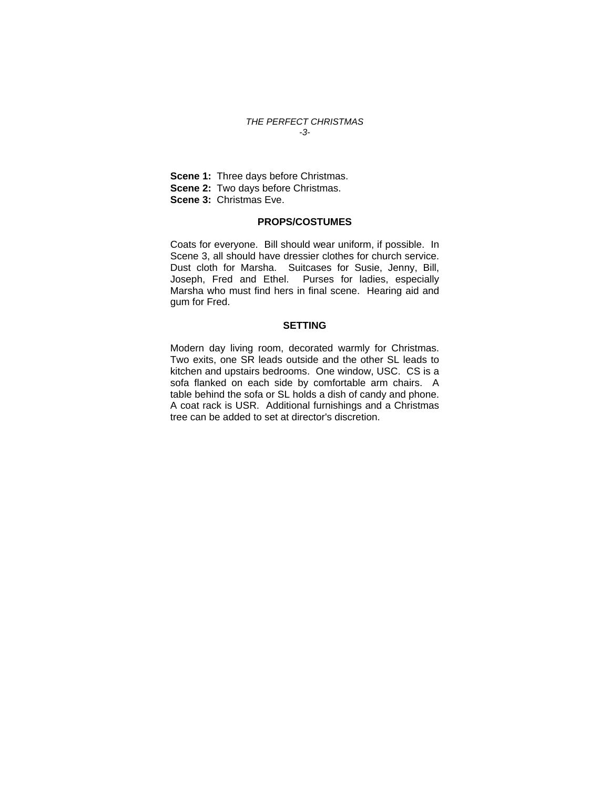#### *THE PERFECT CHRISTMAS -3-*

**Scene 1: Three days before Christmas. Scene 2: Two days before Christmas. Scene 3:** Christmas Eve.

## **PROPS/COSTUMES**

Coats for everyone. Bill should wear uniform, if possible. In Scene 3, all should have dressier clothes for church service. Dust cloth for Marsha. Suitcases for Susie, Jenny, Bill, Joseph, Fred and Ethel. Purses for ladies, especially Marsha who must find hers in final scene. Hearing aid and gum for Fred.

## **SETTING**

Modern day living room, decorated warmly for Christmas. Two exits, one SR leads outside and the other SL leads to kitchen and upstairs bedrooms. One window, USC. CS is a sofa flanked on each side by comfortable arm chairs. A table behind the sofa or SL holds a dish of candy and phone. A coat rack is USR. Additional furnishings and a Christmas tree can be added to set at director's discretion.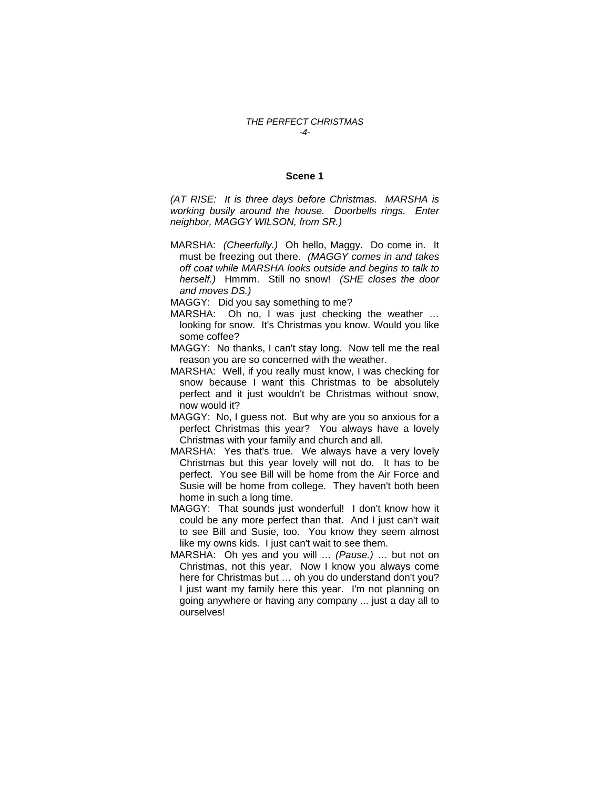#### *THE PERFECT CHRISTMAS -4-*

#### **Scene 1**

*(AT RISE: It is three days before Christmas. MARSHA is working busily around the house. Doorbells rings. Enter neighbor, MAGGY WILSON, from SR.)* 

- MARSHA: *(Cheerfully.)* Oh hello, Maggy. Do come in. It must be freezing out there. *(MAGGY comes in and takes off coat while MARSHA looks outside and begins to talk to herself.)* Hmmm. Still no snow! *(SHE closes the door and moves DS.)*
- MAGGY: Did you say something to me?
- MARSHA: Oh no, I was just checking the weather ... looking for snow. It's Christmas you know. Would you like some coffee?
- MAGGY: No thanks, I can't stay long. Now tell me the real reason you are so concerned with the weather.
- MARSHA: Well, if you really must know, I was checking for snow because I want this Christmas to be absolutely perfect and it just wouldn't be Christmas without snow, now would it?
- MAGGY: No, I guess not. But why are you so anxious for a perfect Christmas this year? You always have a lovely Christmas with your family and church and all.
- MARSHA: Yes that's true. We always have a very lovely Christmas but this year lovely will not do. It has to be perfect. You see Bill will be home from the Air Force and Susie will be home from college. They haven't both been home in such a long time.
- MAGGY: That sounds just wonderful! I don't know how it could be any more perfect than that. And I just can't wait to see Bill and Susie, too. You know they seem almost like my owns kids. I just can't wait to see them.
- MARSHA: Oh yes and you will … *(Pause.)* … but not on Christmas, not this year. Now I know you always come here for Christmas but … oh you do understand don't you? I just want my family here this year. I'm not planning on going anywhere or having any company ... just a day all to ourselves!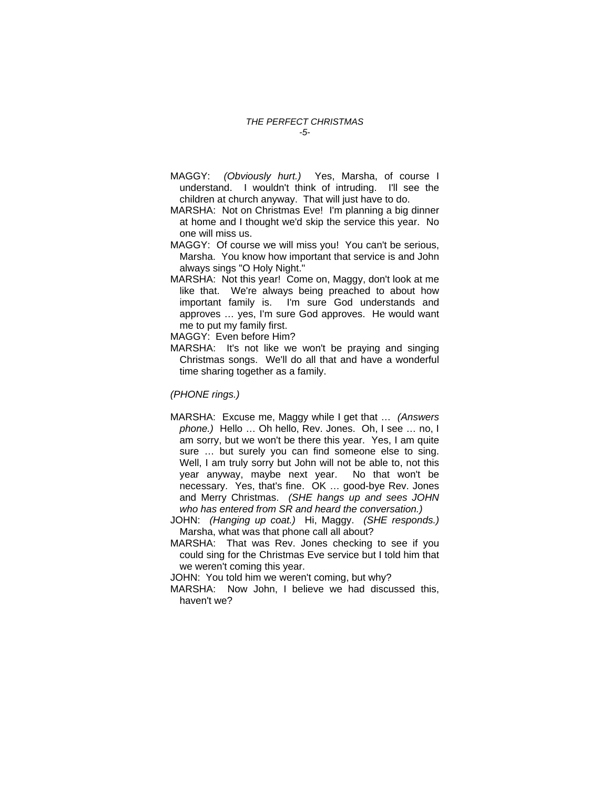MAGGY: *(Obviously hurt.)* Yes, Marsha, of course I understand. I wouldn't think of intruding. I'll see the children at church anyway. That will just have to do.

MARSHA: Not on Christmas Eve! I'm planning a big dinner at home and I thought we'd skip the service this year. No one will miss us.

- MAGGY: Of course we will miss you! You can't be serious, Marsha. You know how important that service is and John always sings "O Holy Night."
- MARSHA: Not this year! Come on, Maggy, don't look at me like that. We're always being preached to about how important family is. I'm sure God understands and approves … yes, I'm sure God approves. He would want me to put my family first.

MAGGY: Even before Him?

MARSHA: It's not like we won't be praying and singing Christmas songs. We'll do all that and have a wonderful time sharing together as a family.

*(PHONE rings.)* 

- MARSHA: Excuse me, Maggy while I get that … *(Answers phone.)* Hello … Oh hello, Rev. Jones. Oh, I see … no, I am sorry, but we won't be there this year. Yes, I am quite sure … but surely you can find someone else to sing. Well, I am truly sorry but John will not be able to, not this year anyway, maybe next year. No that won't be necessary. Yes, that's fine. OK … good-bye Rev. Jones and Merry Christmas. *(SHE hangs up and sees JOHN who has entered from SR and heard the conversation.)*
- JOHN: *(Hanging up coat.)* Hi, Maggy. *(SHE responds.)*  Marsha, what was that phone call all about?
- MARSHA: That was Rev. Jones checking to see if you could sing for the Christmas Eve service but I told him that we weren't coming this year.

JOHN: You told him we weren't coming, but why?

MARSHA: Now John, I believe we had discussed this, haven't we?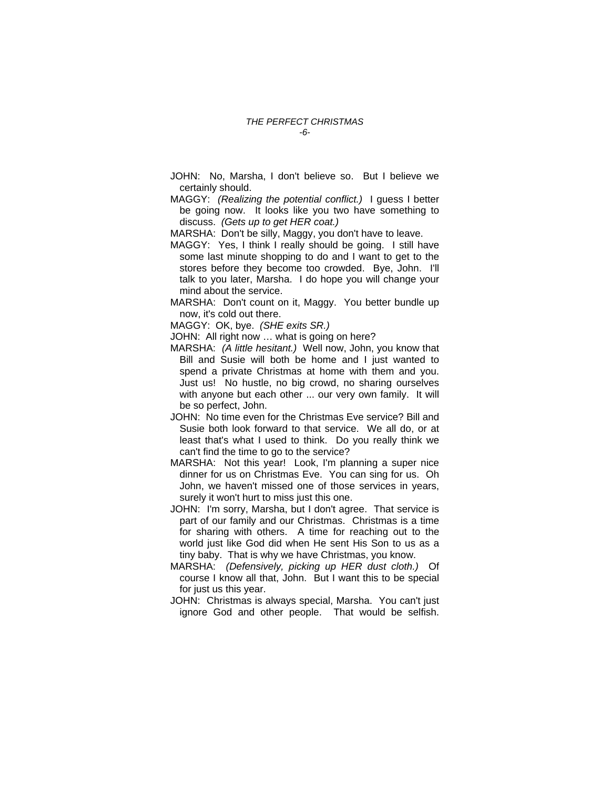- JOHN: No, Marsha, I don't believe so. But I believe we certainly should.
- MAGGY: *(Realizing the potential conflict.)* I guess I better be going now. It looks like you two have something to discuss. *(Gets up to get HER coat.)*
- MARSHA: Don't be silly, Maggy, you don't have to leave.
- MAGGY: Yes, I think I really should be going. I still have some last minute shopping to do and I want to get to the stores before they become too crowded. Bye, John. I'll talk to you later, Marsha. I do hope you will change your mind about the service.
- MARSHA: Don't count on it, Maggy. You better bundle up now, it's cold out there.
- MAGGY: OK, bye. *(SHE exits SR.)*
- JOHN: All right now … what is going on here?
- MARSHA: *(A little hesitant.)* Well now, John, you know that Bill and Susie will both be home and I just wanted to spend a private Christmas at home with them and you. Just us! No hustle, no big crowd, no sharing ourselves with anyone but each other ... our very own family. It will be so perfect, John.
- JOHN: No time even for the Christmas Eve service? Bill and Susie both look forward to that service. We all do, or at least that's what I used to think. Do you really think we can't find the time to go to the service?
- MARSHA: Not this year! Look, I'm planning a super nice dinner for us on Christmas Eve. You can sing for us. Oh John, we haven't missed one of those services in years, surely it won't hurt to miss just this one.
- JOHN: I'm sorry, Marsha, but I don't agree. That service is part of our family and our Christmas. Christmas is a time for sharing with others. A time for reaching out to the world just like God did when He sent His Son to us as a tiny baby. That is why we have Christmas, you know.
- MARSHA: *(Defensively, picking up HER dust cloth.)* Of course I know all that, John. But I want this to be special for just us this year.
- JOHN: Christmas is always special, Marsha. You can't just ignore God and other people. That would be selfish.